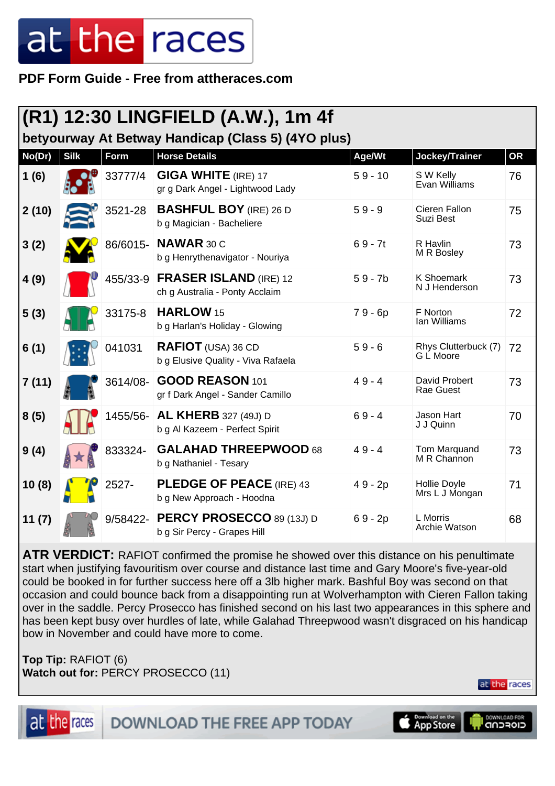## at the races

**PDF Form Guide - Free from attheraces.com**

| (R1) 12:30 LINGFIELD (A.W.), 1m 4f                 |             |          |                                                                 |           |                                       |           |  |
|----------------------------------------------------|-------------|----------|-----------------------------------------------------------------|-----------|---------------------------------------|-----------|--|
| betyourway At Betway Handicap (Class 5) (4YO plus) |             |          |                                                                 |           |                                       |           |  |
| No(Dr)                                             | <b>Silk</b> | Form     | <b>Horse Details</b>                                            | Age/Wt    | Jockey/Trainer                        | <b>OR</b> |  |
| 1(6)                                               |             | 33777/4  | <b>GIGA WHITE</b> (IRE) 17<br>gr g Dark Angel - Lightwood Lady  | $59 - 10$ | S W Kelly<br>Evan Williams            | 76        |  |
| 2(10)                                              |             | 3521-28  | <b>BASHFUL BOY</b> (IRE) 26 D<br>b g Magician - Bacheliere      | $59 - 9$  | Cieren Fallon<br>Suzi Best            | 75        |  |
| 3(2)                                               |             | 86/6015- | NAWAR 30 C<br>b g Henrythenavigator - Nouriya                   | $69 - 7t$ | R Havlin<br>M R Bosley                | 73        |  |
| 4(9)                                               |             | 455/33-9 | <b>FRASER ISLAND (IRE) 12</b><br>ch g Australia - Ponty Acclaim | $59 - 7b$ | <b>K Shoemark</b><br>N J Henderson    | 73        |  |
| 5(3)                                               |             | 33175-8  | HARLOW <sub>15</sub><br>b g Harlan's Holiday - Glowing          | $79 - 6p$ | F Norton<br>Ian Williams              | 72        |  |
| 6(1)                                               |             | 041031   | <b>RAFIOT</b> (USA) 36 CD<br>b g Elusive Quality - Viva Rafaela | $59 - 6$  | Rhys Clutterbuck (7)<br>G L Moore     | 72        |  |
| 7(11)                                              |             | 3614/08- | GOOD REASON 101<br>gr f Dark Angel - Sander Camillo             | $49 - 4$  | David Probert<br>Rae Guest            | 73        |  |
| 8(5)                                               |             | 1455/56- | <b>AL KHERB</b> 327 (49J) D<br>b g Al Kazeem - Perfect Spirit   | $69 - 4$  | Jason Hart<br>J J Quinn               | 70        |  |
| 9(4)                                               |             | 833324-  | <b>GALAHAD THREEPWOOD 68</b><br>b g Nathaniel - Tesary          | $49 - 4$  | Tom Marquand<br>M R Channon           | 73        |  |
| 10(8)                                              |             | 2527-    | <b>PLEDGE OF PEACE (IRE) 43</b><br>b g New Approach - Hoodna    | 49 - 2p   | <b>Hollie Doyle</b><br>Mrs L J Mongan | 71        |  |
| 11(7)                                              |             | 9/58422- | <b>PERCY PROSECCO 89 (13J) D</b><br>b g Sir Percy - Grapes Hill | $69 - 2p$ | L Morris<br>Archie Watson             | 68        |  |

**ATR VERDICT:** RAFIOT confirmed the promise he showed over this distance on his penultimate start when justifying favouritism over course and distance last time and Gary Moore's five-year-old could be booked in for further success here off a 3lb higher mark. Bashful Boy was second on that occasion and could bounce back from a disappointing run at Wolverhampton with Cieren Fallon taking over in the saddle. Percy Prosecco has finished second on his last two appearances in this sphere and has been kept busy over hurdles of late, while Galahad Threepwood wasn't disgraced on his handicap bow in November and could have more to come.

**Top Tip:** RAFIOT (6) **Watch out for:** PERCY PROSECCO (11)

at the races

DOWNLOAD FOR

at the races

**DOWNLOAD THE FREE APP TODAY** 

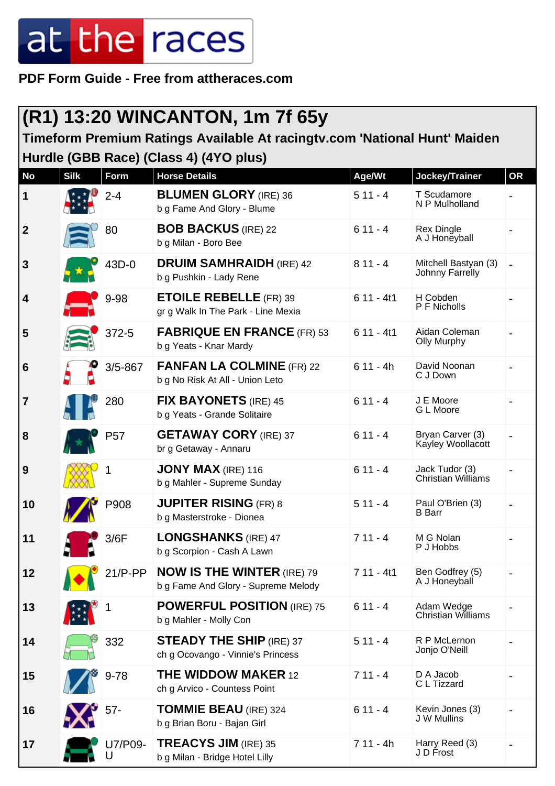## at the races

**PDF Form Guide - Free from attheraces.com**

| (R1) 13:20 WINCANTON, 1m 7f 65y                                                                                     |             |                 |                                                                          |             |                                             |           |  |
|---------------------------------------------------------------------------------------------------------------------|-------------|-----------------|--------------------------------------------------------------------------|-------------|---------------------------------------------|-----------|--|
| Timeform Premium Ratings Available At racingtv.com 'National Hunt' Maiden<br>Hurdle (GBB Race) (Class 4) (4YO plus) |             |                 |                                                                          |             |                                             |           |  |
| <b>No</b>                                                                                                           | <b>Silk</b> | Form            | <b>Horse Details</b>                                                     | Age/Wt      | Jockey/Trainer                              | <b>OR</b> |  |
| 1                                                                                                                   |             | $2 - 4$         | <b>BLUMEN GLORY (IRE) 36</b><br>b g Fame And Glory - Blume               | $511 - 4$   | T Scudamore<br>N P Mulholland               |           |  |
| $\boldsymbol{2}$                                                                                                    |             | 80              | <b>BOB BACKUS (IRE) 22</b><br>b g Milan - Boro Bee                       | $611 - 4$   | <b>Rex Dingle</b><br>A J Honeyball          |           |  |
| $\mathbf{3}$                                                                                                        |             | 43D-0           | <b>DRUIM SAMHRAIDH (IRE) 42</b><br>b g Pushkin - Lady Rene               | $811 - 4$   | Mitchell Bastyan (3)<br>Johnny Farrelly     |           |  |
| 4                                                                                                                   |             | 9-98            | <b>ETOILE REBELLE (FR) 39</b><br>gr g Walk In The Park - Line Mexia      | $611 - 4t1$ | H Cobden<br>P F Nicholls                    |           |  |
| 5                                                                                                                   |             | 372-5           | <b>FABRIQUE EN FRANCE (FR) 53</b><br>b g Yeats - Knar Mardy              | $611 - 4t1$ | Aidan Coleman<br><b>Olly Murphy</b>         |           |  |
| 6                                                                                                                   |             | $3/5 - 867$     | <b>FANFAN LA COLMINE (FR) 22</b><br>b g No Risk At All - Union Leto      | $611 - 4h$  | David Noonan<br>C J Down                    |           |  |
| 7                                                                                                                   |             | 280             | <b>FIX BAYONETS</b> (IRE) 45<br>b g Yeats - Grande Solitaire             | $611 - 4$   | J E Moore<br>G L Moore                      |           |  |
| 8                                                                                                                   |             | P <sub>57</sub> | <b>GETAWAY CORY</b> (IRE) 37<br>br g Getaway - Annaru                    | $611 - 4$   | Bryan Carver (3)<br>Kayley Woollacott       |           |  |
| 9                                                                                                                   |             |                 | JONY MAX (IRE) 116<br>b g Mahler - Supreme Sunday                        | $611 - 4$   | Jack Tudor (3)<br><b>Christian Williams</b> |           |  |
| 10                                                                                                                  |             | P908            | <b>JUPITER RISING (FR) 8</b><br>b g Masterstroke - Dionea                | $511 - 4$   | Paul O'Brien (3)<br><b>B</b> Barr           |           |  |
| 11                                                                                                                  |             | 3/6F            | <b>LONGSHANKS</b> (IRE) 47<br>b g Scorpion - Cash A Lawn                 | $711 - 4$   | M G Nolan<br>P J Hobbs                      |           |  |
| 12                                                                                                                  |             | $21/P-PP$       | <b>NOW IS THE WINTER (IRE) 79</b><br>b g Fame And Glory - Supreme Melody | $711 - 4t1$ | Ben Godfrey (5)<br>A J Honeyball            |           |  |
| 13                                                                                                                  |             |                 | <b>POWERFUL POSITION (IRE) 75</b><br>b g Mahler - Molly Con              | $611 - 4$   | Adam Wedge<br><b>Christian Williams</b>     |           |  |
| 14                                                                                                                  |             | 332             | <b>STEADY THE SHIP (IRE) 37</b><br>ch g Ocovango - Vinnie's Princess     | $511 - 4$   | R P McLernon<br>Jonjo O'Neill               |           |  |
| 15                                                                                                                  |             | $9 - 78$        | <b>THE WIDDOW MAKER 12</b><br>ch g Arvico - Countess Point               | $711 - 4$   | D A Jacob<br>C L Tizzard                    |           |  |
| 16                                                                                                                  |             | 57-             | <b>TOMMIE BEAU (IRE) 324</b><br>b g Brian Boru - Bajan Girl              | $611 - 4$   | Kevin Jones (3)<br>J W Mullins              |           |  |
| 17                                                                                                                  |             | U7/P09-         | <b>TREACYS JIM (IRE) 35</b><br>b g Milan - Bridge Hotel Lilly            | $711 - 4h$  | Harry Reed (3)<br>J D Frost                 |           |  |